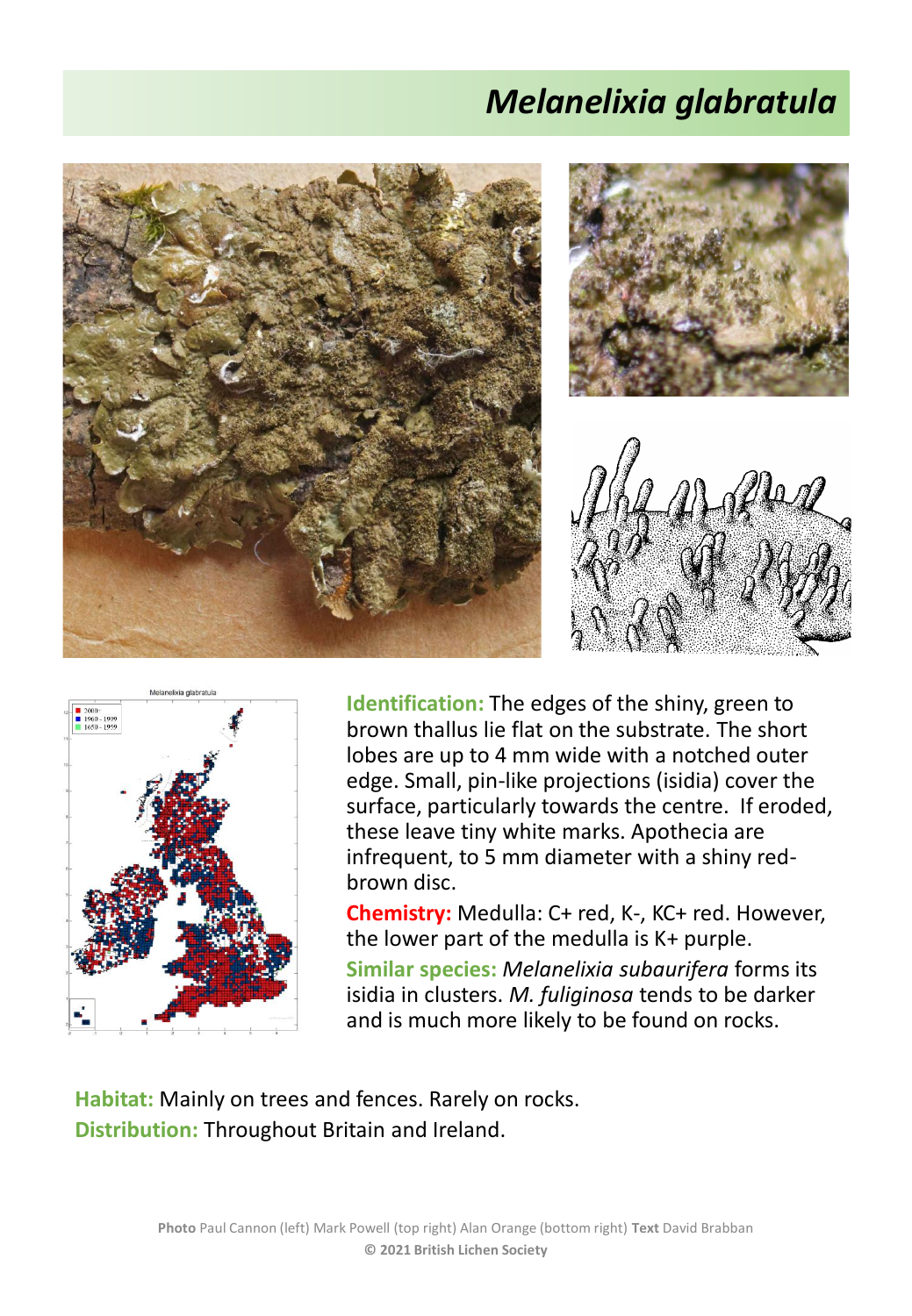## *Melanelixia glabratula*





**Identification:** The edges of the shiny, green to brown thallus lie flat on the substrate. The short lobes are up to 4 mm wide with a notched outer edge. Small, pin-like projections (isidia) cover the surface, particularly towards the centre. If eroded, these leave tiny white marks. Apothecia are infrequent, to 5 mm diameter with a shiny redbrown disc.

**Chemistry:** Medulla: C+ red, K-, KC+ red. However, the lower part of the medulla is K+ purple.

**Similar species:** *Melanelixia subaurifera* forms its isidia in clusters. *M. fuliginosa* tends to be darker and is much more likely to be found on rocks.

**Habitat:** Mainly on trees and fences. Rarely on rocks. **Distribution:** Throughout Britain and Ireland.